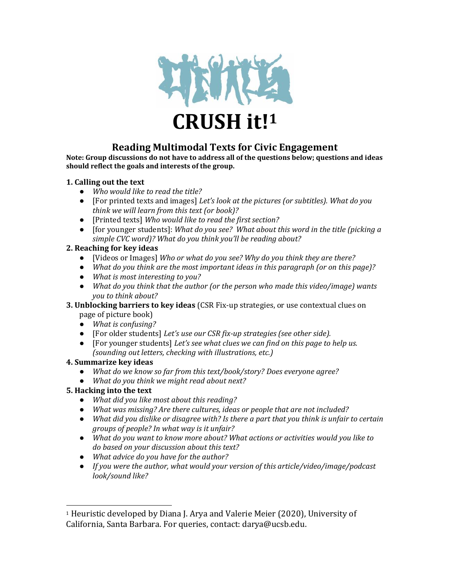

# **Reading Multimodal Texts for Civic Engagement**

**Note: Group discussions do not have to address all of the questions below; questions and ideas should reflect the goals and interests of the group.**

#### **1. Calling out the text**

- *Who would like to read the title?*
- [For printed texts and images] *Let's look at the pictures (or subtitles). What do you think we will learn from this text (or book)?*
- [Printed texts] *Who would like to read the first section?*
- [for younger students]: *What do you see? What about this word in the title (picking a simple CVC word)? What do you think you'll be reading about?*

#### **2. Reaching for key ideas**

- [Videos or Images] *Who or what do you see? Why do you think they are there?*
- *What do you think are the most important ideas in this paragraph (or on this page)?*
- *What is most interesting to you?*
- *What do you think that the author (or the person who made this video/image) wants you to think about?*
- **3. Unblocking barriers to key ideas** (CSR Fix-up strategies, or use contextual clues on page of picture book)
	- *What is confusing?*
	- [For older students] *Let's use our CSR fix-up strategies (see other side).*
	- [For younger students] *Let's see what clues we can find on this page to help us. (sounding out letters, checking with illustrations, etc.)*

#### **4. Summarize key ideas**

- *What do we know so far from this text/book/story? Does everyone agree?*
- *What do you think we might read about next?*
- **5. Hacking into the text** 
	- *What did you like most about this reading?*
	- *What was missing? Are there cultures, ideas or people that are not included?*
	- *What did you dislike or disagree with? Is there a part that you think is unfair to certain groups of people? In what way is it unfair?*
	- *What do you want to know more about? What actions or activities would you like to do based on your discussion about this text?*
	- *What advice do you have for the author?*
	- *If you were the author, what would your version of this article/video/image/podcast look/sound like?*

<sup>1</sup> Heuristic developed by Diana J. Arya and Valerie Meier (2020), University of California, Santa Barbara. For queries, contact: darya@ucsb.edu.